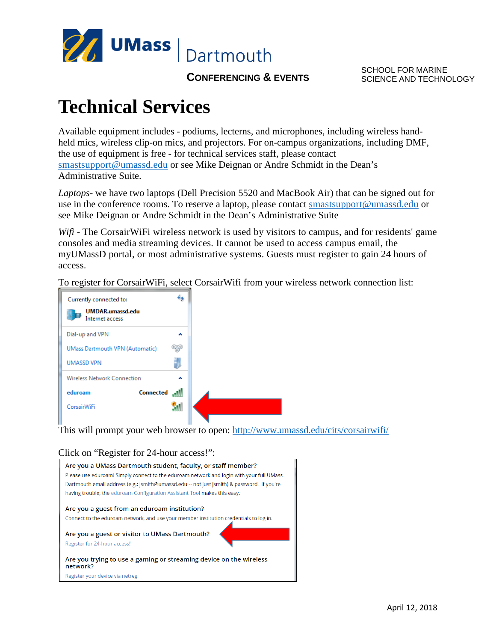

**CONFERENCING & EVENTS** 

SCHOOL FOR MARINE SCIENCE AND TECHNOLOGY

## **Technical Services**

Available equipment includes - podiums, lecterns, and microphones, including wireless handheld mics, wireless clip-on mics, and projectors. For on-campus organizations, including DMF, the use of equipment is free - for technical services staff, please contact [smastsupport@umassd.edu](mailto:smastsupport@umassd.edu) or see Mike Deignan or Andre Schmidt in the Dean's Administrative Suite.

*Laptops*- we have two laptops (Dell Precision 5520 and MacBook Air) that can be signed out for use in the conference rooms. To reserve a laptop, please contact [smastsupport@umassd.edu](mailto:smastsupport@umassd.edu) or see Mike Deignan or Andre Schmidt in the Dean's Administrative Suite

*Wifi* - The CorsairWiFi wireless network is used by visitors to campus, and for residents' game consoles and media streaming devices. It cannot be used to access campus email, the myUMassD portal, or most administrative systems. Guests must register to gain 24 hours of access.

To register for CorsairWiFi, select CorsairWifi from your wireless network connection list:



This will prompt your web browser to open:<http://www.umassd.edu/cits/corsairwifi/>

## Click on "Register for 24-hour access!":